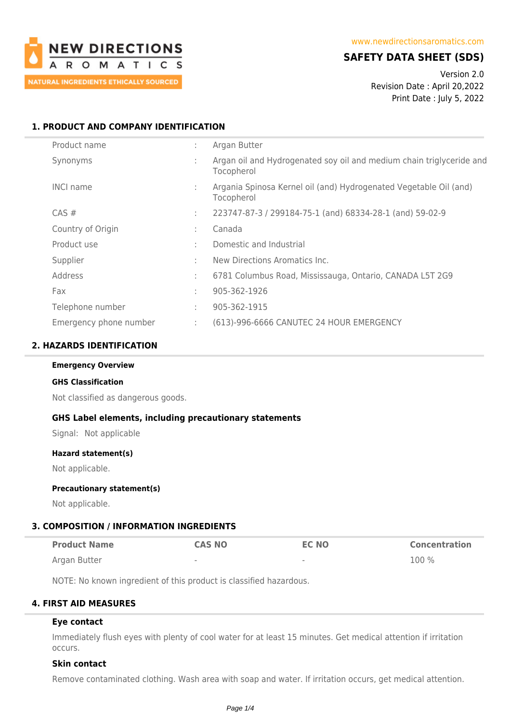

# **SAFETY DATA SHEET (SDS)**

Version 2.0 Revision Date : April 20,2022 Print Date : July 5, 2022

## **1. PRODUCT AND COMPANY IDENTIFICATION**

| Product name           | ٠                 | Argan Butter                                                                       |
|------------------------|-------------------|------------------------------------------------------------------------------------|
| Synonyms               |                   | Argan oil and Hydrogenated soy oil and medium chain triglyceride and<br>Tocopherol |
| <b>INCI name</b>       |                   | Argania Spinosa Kernel oil (and) Hydrogenated Vegetable Oil (and)<br>Tocopherol    |
| $CAS \#$               | ÷.                | 223747-87-3 / 299184-75-1 (and) 68334-28-1 (and) 59-02-9                           |
| Country of Origin      | ٠.                | Canada                                                                             |
| Product use            | ÷                 | Domestic and Industrial                                                            |
| Supplier               | ÷                 | New Directions Aromatics Inc.                                                      |
| Address                | ٠<br>$\mathbf{r}$ | 6781 Columbus Road, Mississauga, Ontario, CANADA L5T 2G9                           |
| Fax                    | ٠.                | 905-362-1926                                                                       |
| Telephone number       | $\sim$            | 905-362-1915                                                                       |
| Emergency phone number | ÷                 | (613)-996-6666 CANUTEC 24 HOUR EMERGENCY                                           |

### **2. HAZARDS IDENTIFICATION**

#### **Emergency Overview**

#### **GHS Classification**

Not classified as dangerous goods.

### **GHS Label elements, including precautionary statements**

Signal: Not applicable

### **Hazard statement(s)**

Not applicable.

### **Precautionary statement(s)**

Not applicable.

# **3. COMPOSITION / INFORMATION INGREDIENTS**

| <b>Product Name</b> | <b>CAS NO</b> | <b>EC NO</b>             | <b>Concentration</b> |
|---------------------|---------------|--------------------------|----------------------|
| Argan Butter        | $\sim$        | $\overline{\phantom{a}}$ | 100 %                |

NOTE: No known ingredient of this product is classified hazardous.

# **4. FIRST AID MEASURES**

# **Eye contact**

Immediately flush eyes with plenty of cool water for at least 15 minutes. Get medical attention if irritation occurs.

### **Skin contact**

Remove contaminated clothing. Wash area with soap and water. If irritation occurs, get medical attention.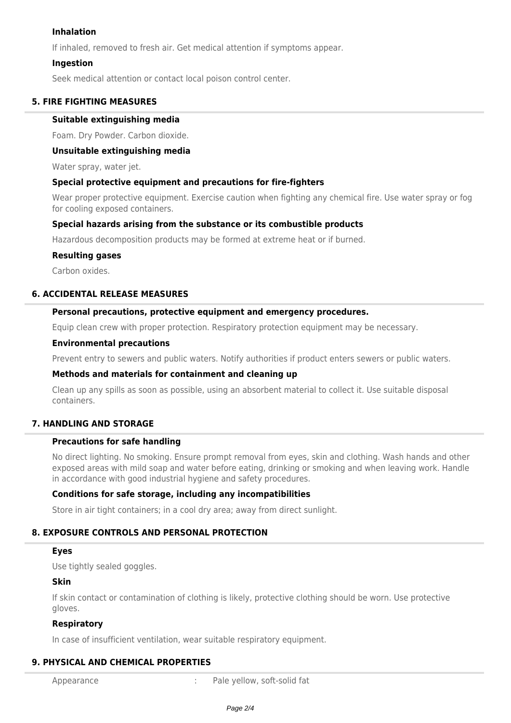### **Inhalation**

If inhaled, removed to fresh air. Get medical attention if symptoms appear.

### **Ingestion**

Seek medical attention or contact local poison control center.

### **5. FIRE FIGHTING MEASURES**

### **Suitable extinguishing media**

Foam. Dry Powder. Carbon dioxide.

### **Unsuitable extinguishing media**

Water spray, water jet.

### **Special protective equipment and precautions for fire-fighters**

Wear proper protective equipment. Exercise caution when fighting any chemical fire. Use water spray or fog for cooling exposed containers.

### **Special hazards arising from the substance or its combustible products**

Hazardous decomposition products may be formed at extreme heat or if burned.

### **Resulting gases**

Carbon oxides.

### **6. ACCIDENTAL RELEASE MEASURES**

### **Personal precautions, protective equipment and emergency procedures.**

Equip clean crew with proper protection. Respiratory protection equipment may be necessary.

#### **Environmental precautions**

Prevent entry to sewers and public waters. Notify authorities if product enters sewers or public waters.

### **Methods and materials for containment and cleaning up**

Clean up any spills as soon as possible, using an absorbent material to collect it. Use suitable disposal containers.

## **7. HANDLING AND STORAGE**

### **Precautions for safe handling**

No direct lighting. No smoking. Ensure prompt removal from eyes, skin and clothing. Wash hands and other exposed areas with mild soap and water before eating, drinking or smoking and when leaving work. Handle in accordance with good industrial hygiene and safety procedures.

### **Conditions for safe storage, including any incompatibilities**

Store in air tight containers; in a cool dry area; away from direct sunlight.

## **8. EXPOSURE CONTROLS AND PERSONAL PROTECTION**

### **Eyes**

Use tightly sealed goggles.

### **Skin**

If skin contact or contamination of clothing is likely, protective clothing should be worn. Use protective gloves.

### **Respiratory**

In case of insufficient ventilation, wear suitable respiratory equipment.

## **9. PHYSICAL AND CHEMICAL PROPERTIES**

Appearance : Pale yellow, soft-solid fat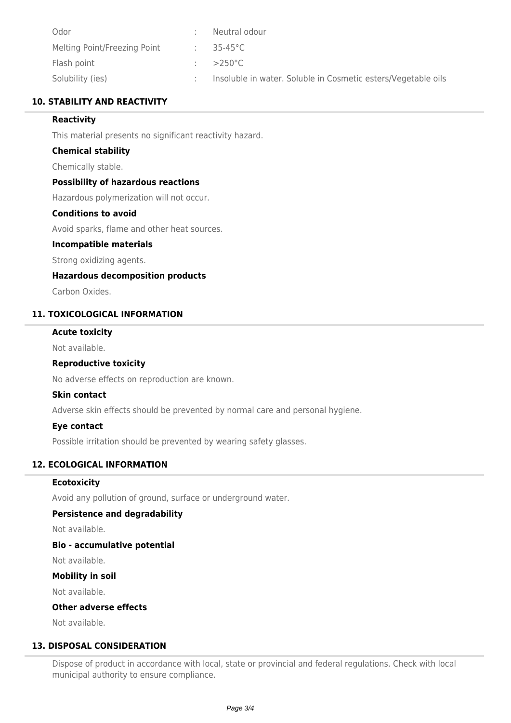| Odor                         | Neutral odour                                                 |
|------------------------------|---------------------------------------------------------------|
| Melting Point/Freezing Point | $35-45^{\circ}$ C                                             |
| Flash point                  | $>250^{\circ}$ C                                              |
| Solubility (ies)             | Insoluble in water. Soluble in Cosmetic esters/Vegetable oils |

## **10. STABILITY AND REACTIVITY**

## **Reactivity**

This material presents no significant reactivity hazard.

### **Chemical stability**

Chemically stable.

### **Possibility of hazardous reactions**

Hazardous polymerization will not occur.

# **Conditions to avoid**

Avoid sparks, flame and other heat sources.

### **Incompatible materials**

Strong oxidizing agents.

### **Hazardous decomposition products**

Carbon Oxides.

### **11. TOXICOLOGICAL INFORMATION**

### **Acute toxicity**

Not available.

### **Reproductive toxicity**

No adverse effects on reproduction are known.

### **Skin contact**

Adverse skin effects should be prevented by normal care and personal hygiene.

### **Eye contact**

Possible irritation should be prevented by wearing safety glasses.

## **12. ECOLOGICAL INFORMATION**

### **Ecotoxicity**

Avoid any pollution of ground, surface or underground water.

### **Persistence and degradability**

Not available.

### **Bio - accumulative potential**

Not available.

### **Mobility in soil**

Not available.

### **Other adverse effects**

Not available.

## **13. DISPOSAL CONSIDERATION**

Dispose of product in accordance with local, state or provincial and federal regulations. Check with local municipal authority to ensure compliance.